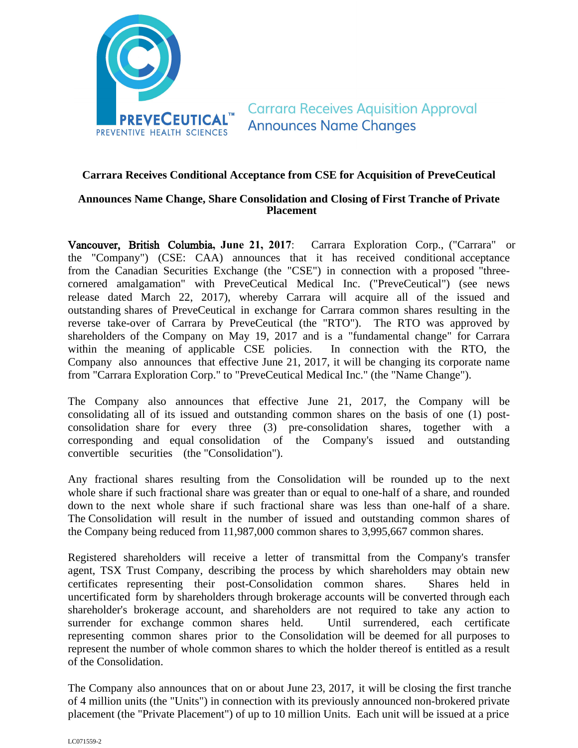

**Carrara Receives Aquisition Approval Announces Name Changes** 

### **Carrara Receives Conditional Acceptance from CSE for Acquisition of PreveCeutical**

# **Announces Name Change, Share Consolidation and Closing of First Tranche of Private Placement**

Vancouver, British Columbia**, June 21, 2017**: Carrara Exploration Corp., ("Carrara" or the "Company") (CSE: CAA) announces that it has received conditional acceptance from the Canadian Securities Exchange (the "CSE") in connection with a proposed "threecornered amalgamation" with PreveCeutical Medical Inc. ("PreveCeutical") (see news release dated March 22, 2017), whereby Carrara will acquire all of the issued and outstanding shares of PreveCeutical in exchange for Carrara common shares resulting in the reverse take-over of Carrara by PreveCeutical (the "RTO"). The RTO was approved by shareholders of the Company on May 19, 2017 and is a "fundamental change" for Carrara within the meaning of applicable CSE policies. In connection with the RTO, the Company also announces that effective June 21, 2017, it will be changing its corporate name from "Carrara Exploration Corp." to "PreveCeutical Medical Inc." (the "Name Change").

The Company also announces that effective June 21, 2017, the Company will be consolidating all of its issued and outstanding common shares on the basis of one (1) postconsolidation share for every three (3) pre-consolidation shares, together with a corresponding and equal consolidation of the Company's issued and outstanding convertible securities (the "Consolidation").

Any fractional shares resulting from the Consolidation will be rounded up to the next whole share if such fractional share was greater than or equal to one-half of a share, and rounded down to the next whole share if such fractional share was less than one-half of a share. The Consolidation will result in the number of issued and outstanding common shares of the Company being reduced from 11,987,000 common shares to 3,995,667 common shares.

Registered shareholders will receive a letter of transmittal from the Company's transfer agent, TSX Trust Company, describing the process by which shareholders may obtain new certificates representing their post-Consolidation common shares. Shares held in uncertificated form by shareholders through brokerage accounts will be converted through each shareholder's brokerage account, and shareholders are not required to take any action to surrender for exchange common shares held. Until surrendered, each certificate representing common shares prior to the Consolidation will be deemed for all purposes to represent the number of whole common shares to which the holder thereof is entitled as a result of the Consolidation.

The Company also announces that on or about June 23, 2017, it will be closing the first tranche of 4 million units (the "Units") in connection with its previously announced non-brokered private placement (the "Private Placement") of up to 10 million Units. Each unit will be issued at a price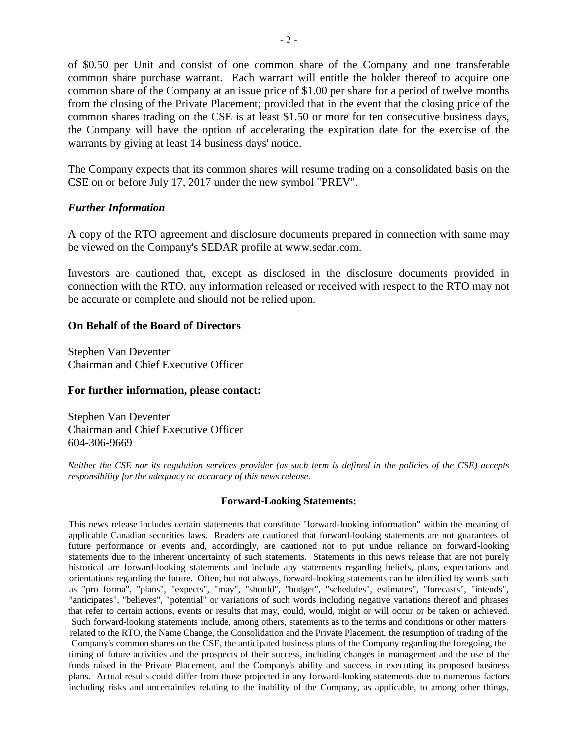of \$0.50 per Unit and consist of one common share of the Company and one transferable common share purchase warrant. Each warrant will entitle the holder thereof to acquire one common share of the Company at an issue price of \$1.00 per share for a period of twelve months from the closing of the Private Placement; provided that in the event that the closing price of the common shares trading on the CSE is at least \$1.50 or more for ten consecutive business days, the Company will have the option of accelerating the expiration date for the exercise of the warrants by giving at least 14 business days' notice.

The Company expects that its common shares will resume trading on a consolidated basis on the CSE on or before July 17, 2017 under the new symbol "PREV".

## *Further Information*

A copy of the RTO agreement and disclosure documents prepared in connection with same may be viewed on the Company's SEDAR profile at www.sedar.com.

Investors are cautioned that, except as disclosed in the disclosure documents provided in connection with the RTO, any information released or received with respect to the RTO may not be accurate or complete and should not be relied upon.

#### **On Behalf of the Board of Directors**

Stephen Van Deventer Chairman and Chief Executive Officer

#### **For further information, please contact:**

Stephen Van Deventer Chairman and Chief Executive Officer 604-306-9669

*Neither the CSE nor its regulation services provider (as such term is defined in the policies of the CSE) accepts responsibility for the adequacy or accuracy of this news release.*

#### **Forward-Looking Statements:**

This news release includes certain statements that constitute "forward-looking information" within the meaning of applicable Canadian securities laws. Readers are cautioned that forward-looking statements are not guarantees of future performance or events and, accordingly, are cautioned not to put undue reliance on forward-looking statements due to the inherent uncertainty of such statements. Statements in this news release that are not purely historical are forward-looking statements and include any statements regarding beliefs, plans, expectations and orientations regarding the future. Often, but not always, forward-looking statements can be identified by words such as "pro forma", "plans", "expects", "may", "should", "budget", "schedules", estimates", "forecasts", "intends", "anticipates", "believes", "potential" or variations of such words including negative variations thereof and phrases that refer to certain actions, events or results that may, could, would, might or will occur or be taken or achieved. Such forward-looking statements include, among others, statements as to the terms and conditions or other matters related to the RTO, the Name Change, the Consolidation and the Private Placement, the resumption of trading of the Company's common shares on the CSE, the anticipated business plans of the Company regarding the foregoing, the timing of future activities and the prospects of their success, including changes in management and the use of the funds raised in the Private Placement, and the Company's ability and success in executing its proposed business plans. Actual results could differ from those projected in any forward-looking statements due to numerous factors including risks and uncertainties relating to the inability of the Company, as applicable, to among other things,